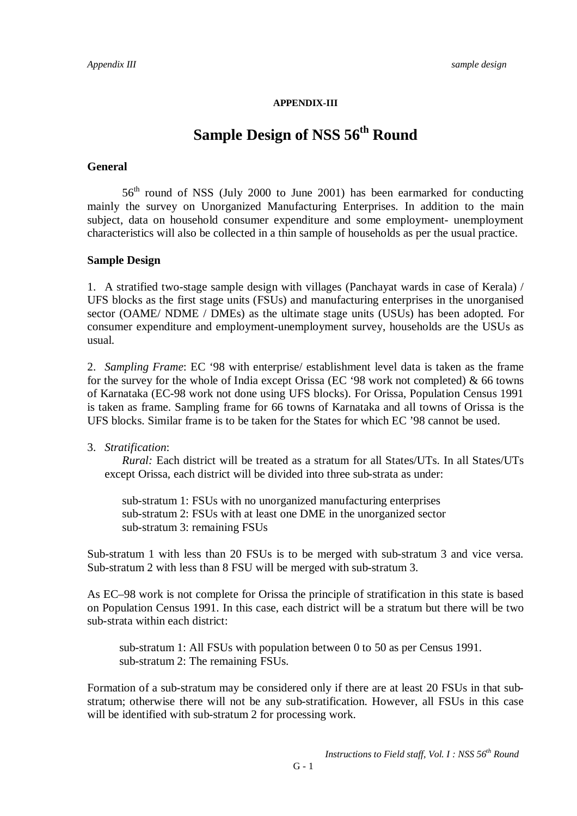#### **APPENDIX-III**

# **Sample Design of NSS 56th Round**

#### **General**

 $56<sup>th</sup>$  round of NSS (July 2000 to June 2001) has been earmarked for conducting mainly the survey on Unorganized Manufacturing Enterprises. In addition to the main subject, data on household consumer expenditure and some employment- unemployment characteristics will also be collected in a thin sample of households as per the usual practice.

#### **Sample Design**

1. A stratified two-stage sample design with villages (Panchayat wards in case of Kerala) / UFS blocks as the first stage units (FSUs) and manufacturing enterprises in the unorganised sector (OAME/ NDME / DMEs) as the ultimate stage units (USUs) has been adopted. For consumer expenditure and employment-unemployment survey, households are the USUs as usual.

2. *Sampling Frame*: EC '98 with enterprise/ establishment level data is taken as the frame for the survey for the whole of India except Orissa (EC '98 work not completed) & 66 towns of Karnataka (EC-98 work not done using UFS blocks). For Orissa, Population Census 1991 is taken as frame. Sampling frame for 66 towns of Karnataka and all towns of Orissa is the UFS blocks. Similar frame is to be taken for the States for which EC '98 cannot be used.

### 3. *Stratification*:

*Rural:* Each district will be treated as a stratum for all States/UTs. In all States/UTs except Orissa, each district will be divided into three sub-strata as under:

sub-stratum 1: FSUs with no unorganized manufacturing enterprises sub-stratum 2: FSUs with at least one DME in the unorganized sector sub-stratum 3: remaining FSUs

Sub-stratum 1 with less than 20 FSUs is to be merged with sub-stratum 3 and vice versa. Sub-stratum 2 with less than 8 FSU will be merged with sub-stratum 3.

As EC–98 work is not complete for Orissa the principle of stratification in this state is based on Population Census 1991. In this case, each district will be a stratum but there will be two sub-strata within each district:

 sub-stratum 1: All FSUs with population between 0 to 50 as per Census 1991. sub-stratum 2: The remaining FSUs.

Formation of a sub-stratum may be considered only if there are at least 20 FSUs in that substratum; otherwise there will not be any sub-stratification. However, all FSUs in this case will be identified with sub-stratum 2 for processing work.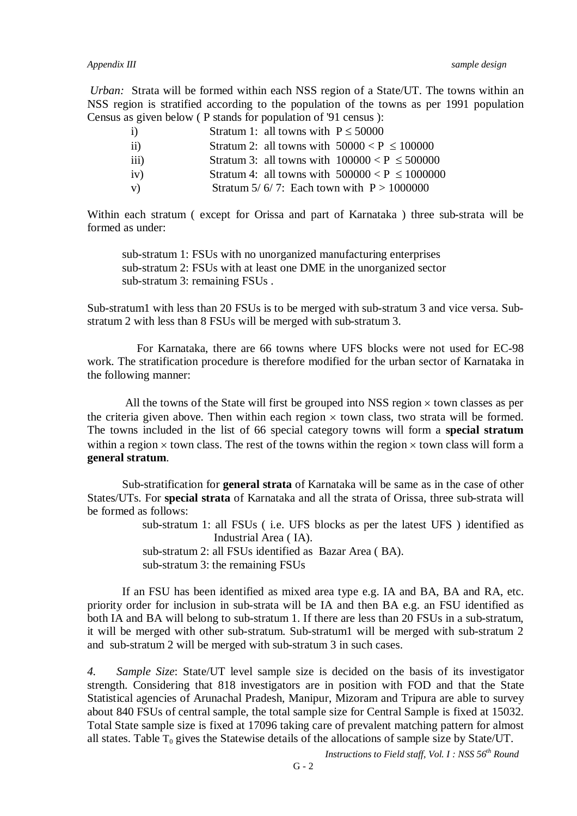*Appendix III sample design*

*Urban:* Strata will be formed within each NSS region of a State/UT. The towns within an NSS region is stratified according to the population of the towns as per 1991 population Census as given below ( P stands for population of '91 census ):

| $\ddot{1}$       | Stratum 1: all towns with $P \le 50000$            |
|------------------|----------------------------------------------------|
| $\rm ii)$        | Stratum 2: all towns with $50000 < P \le 100000$   |
| $\overline{111}$ | Stratum 3: all towns with $100000 < P \le 500000$  |
| iv)              | Stratum 4: all towns with $500000 < P \le 1000000$ |
| V)               | Stratum 5/6/7: Each town with $P > 1000000$        |

Within each stratum ( except for Orissa and part of Karnataka ) three sub-strata will be formed as under:

sub-stratum 1: FSUs with no unorganized manufacturing enterprises sub-stratum 2: FSUs with at least one DME in the unorganized sector sub-stratum 3: remaining FSUs .

Sub-stratum1 with less than 20 FSUs is to be merged with sub-stratum 3 and vice versa. Substratum 2 with less than 8 FSUs will be merged with sub-stratum 3.

For Karnataka, there are 66 towns where UFS blocks were not used for EC-98 work. The stratification procedure is therefore modified for the urban sector of Karnataka in the following manner:

All the towns of the State will first be grouped into NSS region  $\times$  town classes as per the criteria given above. Then within each region  $\times$  town class, two strata will be formed. The towns included in the list of 66 special category towns will form a **special stratum** within a region  $\times$  town class. The rest of the towns within the region  $\times$  town class will form a **general stratum**.

Sub-stratification for **general strata** of Karnataka will be same as in the case of other States/UTs. For **special strata** of Karnataka and all the strata of Orissa, three sub-strata will be formed as follows:

> sub-stratum 1: all FSUs ( i.e. UFS blocks as per the latest UFS ) identified as Industrial Area ( IA). sub-stratum 2: all FSUs identified as Bazar Area ( BA). sub-stratum 3: the remaining FSUs

If an FSU has been identified as mixed area type e.g. IA and BA, BA and RA, etc. priority order for inclusion in sub-strata will be IA and then BA e.g. an FSU identified as both IA and BA will belong to sub-stratum 1. If there are less than 20 FSUs in a sub-stratum, it will be merged with other sub-stratum. Sub-stratum1 will be merged with sub-stratum 2 and sub-stratum 2 will be merged with sub-stratum 3 in such cases.

*4. Sample Size*: State/UT level sample size is decided on the basis of its investigator strength. Considering that 818 investigators are in position with FOD and that the State Statistical agencies of Arunachal Pradesh, Manipur, Mizoram and Tripura are able to survey about 840 FSUs of central sample, the total sample size for Central Sample is fixed at 15032. Total State sample size is fixed at 17096 taking care of prevalent matching pattern for almost all states. Table  $T_0$  gives the Statewise details of the allocations of sample size by State/UT.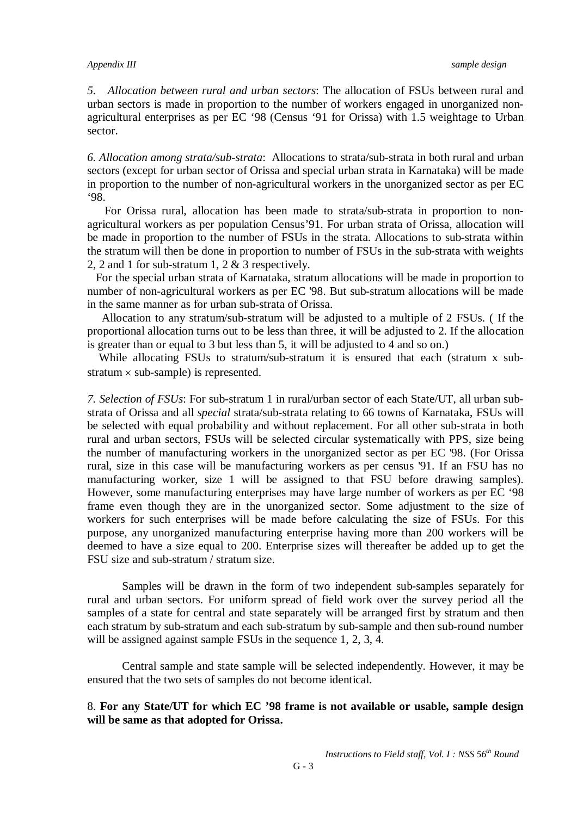*5. Allocation between rural and urban sectors*: The allocation of FSUs between rural and urban sectors is made in proportion to the number of workers engaged in unorganized nonagricultural enterprises as per EC '98 (Census '91 for Orissa) with 1.5 weightage to Urban sector.

*6. Allocation among strata/sub-strata*: Allocations to strata/sub-strata in both rural and urban sectors (except for urban sector of Orissa and special urban strata in Karnataka) will be made in proportion to the number of non-agricultural workers in the unorganized sector as per EC '98.

For Orissa rural, allocation has been made to strata/sub-strata in proportion to nonagricultural workers as per population Census'91. For urban strata of Orissa, allocation will be made in proportion to the number of FSUs in the strata. Allocations to sub-strata within the stratum will then be done in proportion to number of FSUs in the sub-strata with weights 2, 2 and 1 for sub-stratum 1, 2 & 3 respectively.

 For the special urban strata of Karnataka, stratum allocations will be made in proportion to number of non-agricultural workers as per EC '98. But sub-stratum allocations will be made in the same manner as for urban sub-strata of Orissa.

 Allocation to any stratum/sub-stratum will be adjusted to a multiple of 2 FSUs. ( If the proportional allocation turns out to be less than three, it will be adjusted to 2. If the allocation is greater than or equal to 3 but less than 5, it will be adjusted to 4 and so on.)

While allocating FSUs to stratum/sub-stratum it is ensured that each (stratum x substratum  $\times$  sub-sample) is represented.

*7. Selection of FSUs*: For sub-stratum 1 in rural/urban sector of each State/UT, all urban substrata of Orissa and all *special* strata/sub-strata relating to 66 towns of Karnataka, FSUs will be selected with equal probability and without replacement. For all other sub-strata in both rural and urban sectors, FSUs will be selected circular systematically with PPS, size being the number of manufacturing workers in the unorganized sector as per EC '98. (For Orissa rural, size in this case will be manufacturing workers as per census '91. If an FSU has no manufacturing worker, size 1 will be assigned to that FSU before drawing samples). However, some manufacturing enterprises may have large number of workers as per EC '98 frame even though they are in the unorganized sector. Some adjustment to the size of workers for such enterprises will be made before calculating the size of FSUs. For this purpose, any unorganized manufacturing enterprise having more than 200 workers will be deemed to have a size equal to 200. Enterprise sizes will thereafter be added up to get the FSU size and sub-stratum / stratum size.

Samples will be drawn in the form of two independent sub-samples separately for rural and urban sectors. For uniform spread of field work over the survey period all the samples of a state for central and state separately will be arranged first by stratum and then each stratum by sub-stratum and each sub-stratum by sub-sample and then sub-round number will be assigned against sample FSUs in the sequence 1, 2, 3, 4.

Central sample and state sample will be selected independently. However, it may be ensured that the two sets of samples do not become identical.

## 8. **For any State/UT for which EC '98 frame is not available or usable, sample design will be same as that adopted for Orissa.**